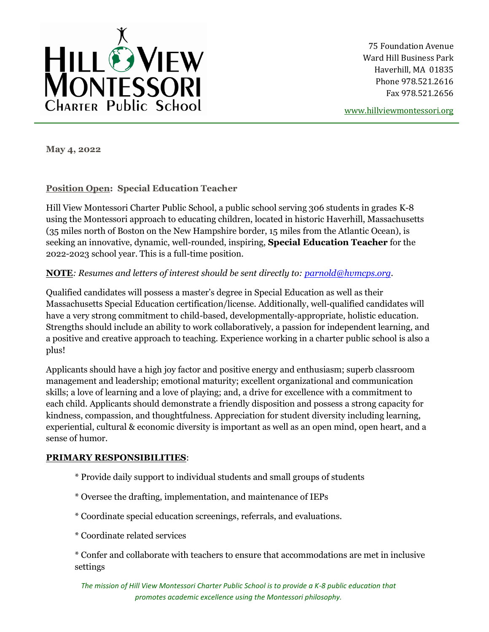

75 Foundation Avenue Ward Hill Business Park Haverhill, MA 01835 Phone 978.521.2616 Fax 978.521.2656

[www.hillviewmontessori.org](http://www.hillviewmontessori.org/)

**May 4, 2022**

# **Position Open: Special Education Teacher**

Hill View Montessori Charter Public School, a public school serving 306 students in grades K-8 using the Montessori approach to educating children, located in historic Haverhill, Massachusetts (35 miles north of Boston on the New Hampshire border, 15 miles from the Atlantic Ocean), is seeking an innovative, dynamic, well-rounded, inspiring, **Special Education Teacher** for the 2022-2023 school year. This is a full-time position.

# **NOTE***: Resumes and letters of interest should be sent directly to: [parnold@hvmcps.org.](mailto:parnold@hvmcps.org)*

Qualified candidates will possess a master's degree in Special Education as well as their Massachusetts Special Education certification/license. Additionally, well-qualified candidates will have a very strong commitment to child-based, developmentally-appropriate, holistic education. Strengths should include an ability to work collaboratively, a passion for independent learning, and a positive and creative approach to teaching. Experience working in a charter public school is also a plus!

Applicants should have a high joy factor and positive energy and enthusiasm; superb classroom management and leadership; emotional maturity; excellent organizational and communication skills; a love of learning and a love of playing; and, a drive for excellence with a commitment to each child. Applicants should demonstrate a friendly disposition and possess a strong capacity for kindness, compassion, and thoughtfulness. Appreciation for student diversity including learning, experiential, cultural & economic diversity is important as well as an open mind, open heart, and a sense of humor.

#### **PRIMARY RESPONSIBILITIES**:

- \* Provide daily support to individual students and small groups of students
- \* Oversee the drafting, implementation, and maintenance of IEPs
- \* Coordinate special education screenings, referrals, and evaluations.
- \* Coordinate related services

\* Confer and collaborate with teachers to ensure that accommodations are met in inclusive settings

*The mission of Hill View Montessori Charter Public School is to provide a K-8 public education that promotes academic excellence using the Montessori philosophy.*